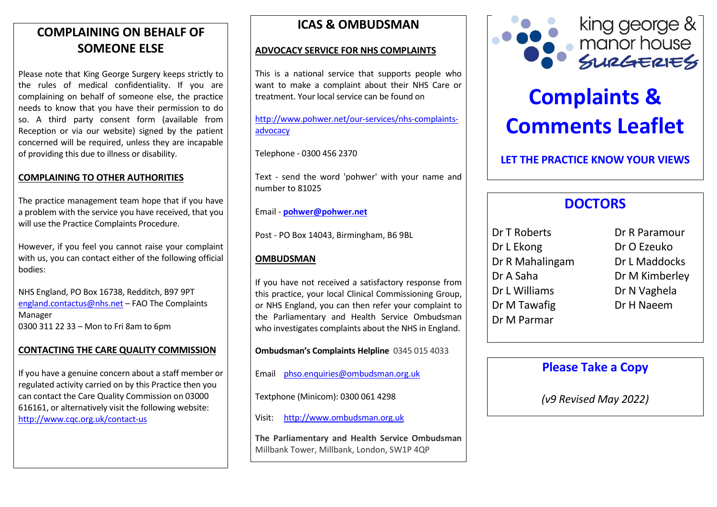# **COMPLAINING ON BEHALF OF SOMEONE ELSE**

Please note that King George Surgery keeps strictly to the rules of medical confidentiality. If you are complaining on behalf of someone else, the practice needs to know that you have their permission to do so. A third party consent form (available from Reception or via our website) signed by the patient concerned will be required, unless they are incapable of providing this due to illness or disability.

## **COMPLAINING TO OTHER AUTHORITIES**

The practice management team hope that if you have a problem with the service you have received, that you will use the Practice Complaints Procedure.

However, if you feel you cannot raise your complaint with us, you can contact either of the following official bodies:

NHS England, PO Box 16738, Redditch, B97 9PT [england.contactus@nhs.net](mailto:England.contactus@nhs.net) – FAO The Complaints Manager 0300 311 22 33 – Mon to Fri 8am to 6pm

### **CONTACTING THE CARE QUALITY COMMISSION**

If you have a genuine concern about a staff member or regulated activity carried on by this Practice then you can contact the Care Quality Commission on 03000 616161, or alternatively visit the following website: <http://www.cqc.org.uk/contact-us>

# **ICAS & OMBUDSMAN**

#### **ADVOCACY SERVICE FOR NHS COMPLAINTS**

This is a national service that supports people who want to make a complaint about their NHS Care or treatment. Your local service can be found on

[http://www.pohwer.net/our-services/nhs-complaints](http://www.pohwer.net/our-services/nhs-complaints-advocacy)[advocacy](http://www.pohwer.net/our-services/nhs-complaints-advocacy)

Telephone - 0300 456 2370

Text - send the word 'pohwer' with your name and number to 81025

Email - **[pohwer@pohwer.net](mailto:pohwer@pohwer.net)**

Post - PO Box 14043, Birmingham, B6 9BL

#### **OMBUDSMAN**

If you have not received a satisfactory response from this practice, your local Clinical Commissioning Group, or NHS England, you can then refer your complaint to the Parliamentary and Health Service Ombudsman who investigates complaints about the NHS in England.

**Ombudsman's Complaints Helpline** 0345 015 4033

Email [phso.enquiries@ombudsman.org.uk](mailto:phso.enquiries@ombudsman.org.uk)

Textphone (Minicom): 0300 061 4298

Visit: [http://www.ombudsman.org.uk](http://www.ombudsman.org.uk/)

**The Parliamentary and Health Service Ombudsman** Millbank Tower, Millbank, London, SW1P 4QP



# **Complaints & Comments Leaflet**

**LET THE PRACTICE KNOW YOUR VIEWS**

# **DOCTORS**

| Dr T Roberts    | Dr R Paramour  |
|-----------------|----------------|
| Dr L Ekong      | Dr O Ezeuko    |
| Dr R Mahalingam | Dr L Maddocks  |
| Dr A Saha       | Dr M Kimberley |
| Dr L Williams   | Dr N Vaghela   |
| Dr M Tawafig    | Dr H Naeem     |
| Dr M Parmar     |                |
|                 |                |

# **Please Take a Copy**

*(v9 Revised May 2022)*